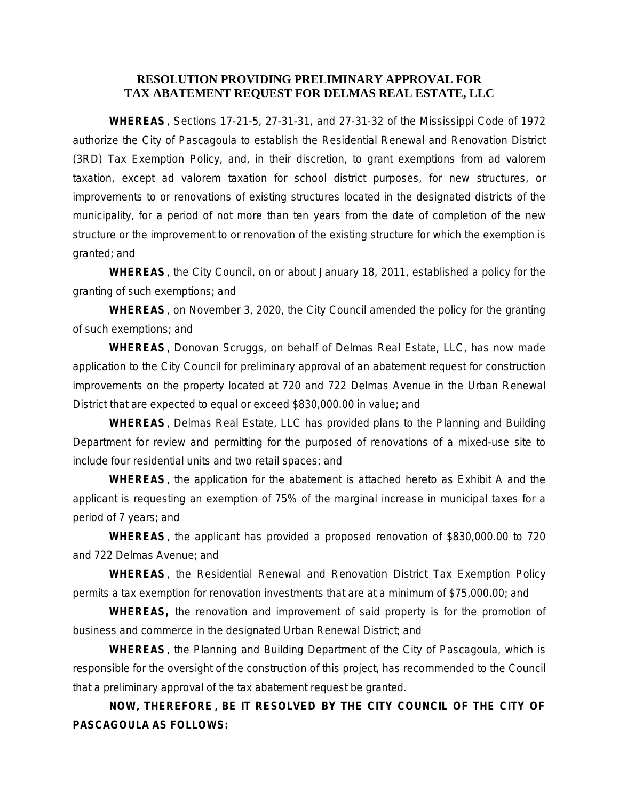## **RESOLUTION PROVIDING PRELIMINARY APPROVAL FOR TAX ABATEMENT REQUEST FOR DELMAS REAL ESTATE, LLC**

**WHEREAS**, Sections 17-21-5, 27-31-31, and 27-31-32 of the Mississippi Code of 1972 authorize the City of Pascagoula to establish the Residential Renewal and Renovation District (3RD) Tax Exemption Policy, and, in their discretion, to grant exemptions from ad valorem taxation, except ad valorem taxation for school district purposes, for new structures, or improvements to or renovations of existing structures located in the designated districts of the municipality, for a period of not more than ten years from the date of completion of the new structure or the improvement to or renovation of the existing structure for which the exemption is granted; and

**WHEREAS**, the City Council, on or about January 18, 2011, established a policy for the granting of such exemptions; and

**WHEREAS**, on November 3, 2020, the City Council amended the policy for the granting of such exemptions; and

**WHEREAS**, Donovan Scruggs, on behalf of Delmas Real Estate, LLC, has now made application to the City Council for preliminary approval of an abatement request for construction improvements on the property located at 720 and 722 Delmas Avenue in the Urban Renewal District that are expected to equal or exceed \$830,000.00 in value; and

**WHEREAS**, Delmas Real Estate, LLC has provided plans to the Planning and Building Department for review and permitting for the purposed of renovations of a mixed-use site to include four residential units and two retail spaces; and

**WHEREAS**, the application for the abatement is attached hereto as Exhibit A and the applicant is requesting an exemption of 75% of the marginal increase in municipal taxes for a period of 7 years; and

**WHEREAS**, the applicant has provided a proposed renovation of \$830,000.00 to 720 and 722 Delmas Avenue; and

**WHEREAS**, the Residential Renewal and Renovation District Tax Exemption Policy permits a tax exemption for renovation investments that are at a minimum of \$75,000.00; and

**WHEREAS,** the renovation and improvement of said property is for the promotion of business and commerce in the designated Urban Renewal District; and

**WHEREAS**, the Planning and Building Department of the City of Pascagoula, which is responsible for the oversight of the construction of this project, has recommended to the Council that a preliminary approval of the tax abatement request be granted.

**NOW, THEREFORE , BE IT RESOLVED BY THE CITY COUNCIL OF THE CITY OF PASCAGOULA AS FOLLOWS:**